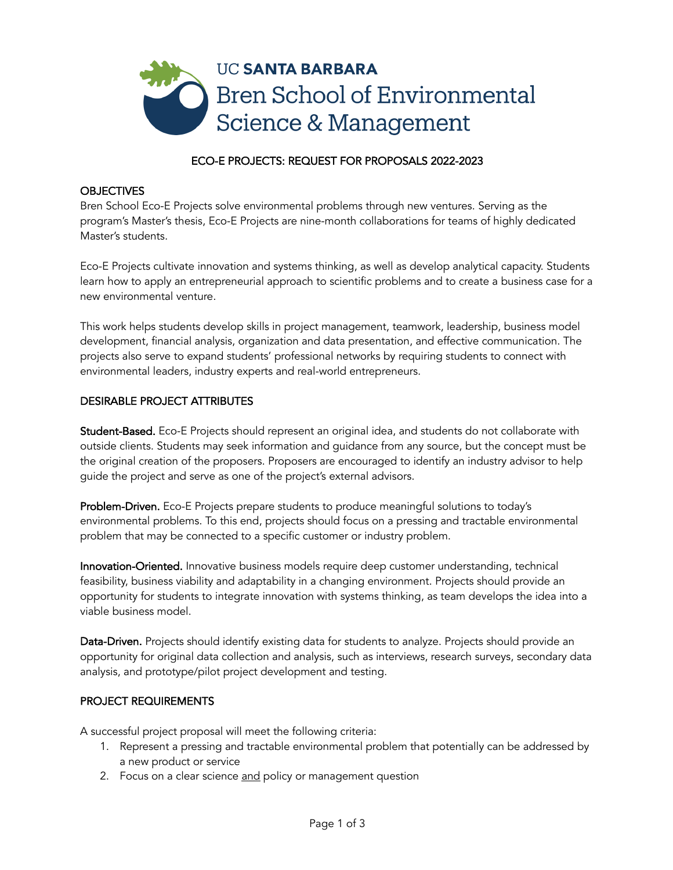

# ECO-E PROJECTS: REQUEST FOR PROPOSALS 2022-2023

#### **OBJECTIVES**

Bren School Eco-E Projects solve environmental problems through new ventures. Serving as the program's Master's thesis, Eco-E Projects are nine-month collaborations for teams of highly dedicated Master's students.

Eco-E Projects cultivate innovation and systems thinking, as well as develop analytical capacity. Students learn how to apply an entrepreneurial approach to scientific problems and to create a business case for a new environmental venture.

This work helps students develop skills in project management, teamwork, leadership, business model development, financial analysis, organization and data presentation, and effective communication. The projects also serve to expand students' professional networks by requiring students to connect with environmental leaders, industry experts and real-world entrepreneurs.

### DESIRABLE PROJECT ATTRIBUTES

Student-Based. Eco-E Projects should represent an original idea, and students do not collaborate with outside clients. Students may seek information and guidance from any source, but the concept must be the original creation of the proposers. Proposers are encouraged to identify an industry advisor to help guide the project and serve as one of the project's external advisors.

Problem-Driven. Eco-E Projects prepare students to produce meaningful solutions to today's environmental problems. To this end, projects should focus on a pressing and tractable environmental problem that may be connected to a specific customer or industry problem.

Innovation-Oriented. Innovative business models require deep customer understanding, technical feasibility, business viability and adaptability in a changing environment. Projects should provide an opportunity for students to integrate innovation with systems thinking, as team develops the idea into a viable business model.

Data-Driven. Projects should identify existing data for students to analyze. Projects should provide an opportunity for original data collection and analysis, such as interviews, research surveys, secondary data analysis, and prototype/pilot project development and testing.

#### PROJECT REQUIREMENTS

A successful project proposal will meet the following criteria:

- 1. Represent a pressing and tractable environmental problem that potentially can be addressed by a new product or service
- 2. Focus on a clear science and policy or management question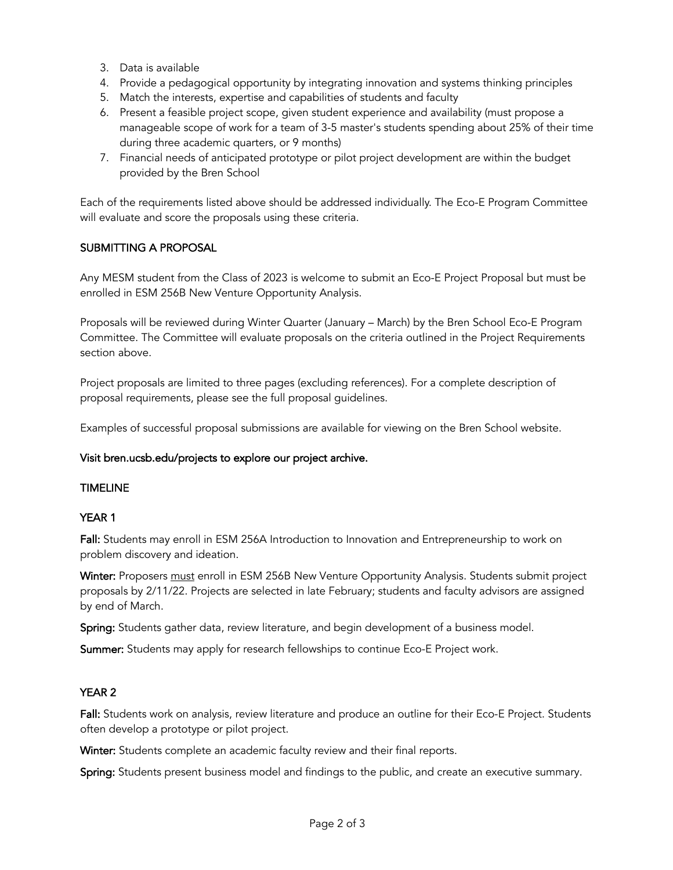- 3. Data is available
- 4. Provide a pedagogical opportunity by integrating innovation and systems thinking principles
- 5. Match the interests, expertise and capabilities of students and faculty
- 6. Present a feasible project scope, given student experience and availability (must propose a manageable scope of work for a team of 3-5 master's students spending about 25% of their time during three academic quarters, or 9 months)
- 7. Financial needs of anticipated prototype or pilot project development are within the budget provided by the Bren School

Each of the requirements listed above should be addressed individually. The Eco-E Program Committee will evaluate and score the proposals using these criteria.

## SUBMITTING A PROPOSAL

Any MESM student from the Class of 2023 is welcome to submit an Eco-E Project Proposal but must be enrolled in ESM 256B New Venture Opportunity Analysis.

Proposals will be reviewed during Winter Quarter (January – March) by the Bren School Eco-E Program Committee. The Committee will evaluate proposals on the criteria outlined in the Project Requirements section above.

Project proposals are limited to three pages (excluding references). For a complete description of proposal requirements, please see the full proposal guidelines.

Examples of successful proposal submissions are available for viewing on the Bren School website.

#### Visit bren.ucsb.edu/projects to explore our project archive.

#### TIMELINE

## YEAR 1

Fall: Students may enroll in ESM 256A Introduction to Innovation and Entrepreneurship to work on problem discovery and ideation.

Winter: Proposers must enroll in ESM 256B New Venture Opportunity Analysis. Students submit project proposals by 2/11/22. Projects are selected in late February; students and faculty advisors are assigned by end of March.

Spring: Students gather data, review literature, and begin development of a business model.

Summer: Students may apply for research fellowships to continue Eco-E Project work.

## YEAR 2

Fall: Students work on analysis, review literature and produce an outline for their Eco-E Project. Students often develop a prototype or pilot project.

Winter: Students complete an academic faculty review and their final reports.

Spring: Students present business model and findings to the public, and create an executive summary.